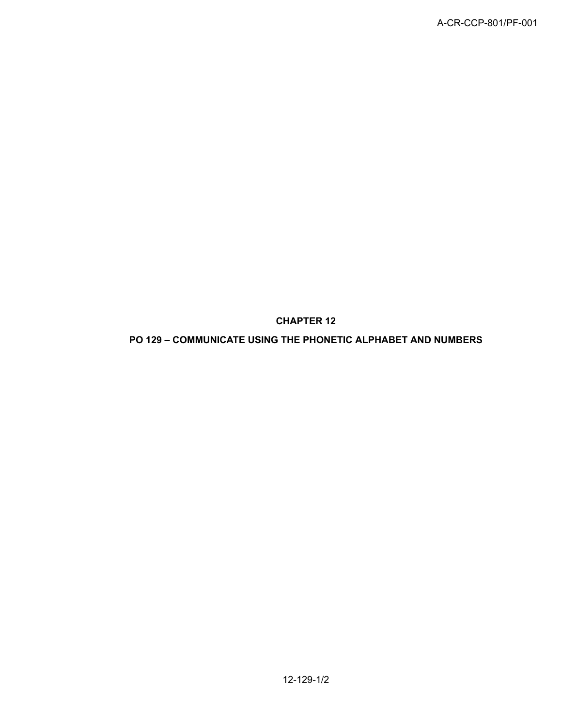**CHAPTER 12**

**PO 129 – COMMUNICATE USING THE PHONETIC ALPHABET AND NUMBERS**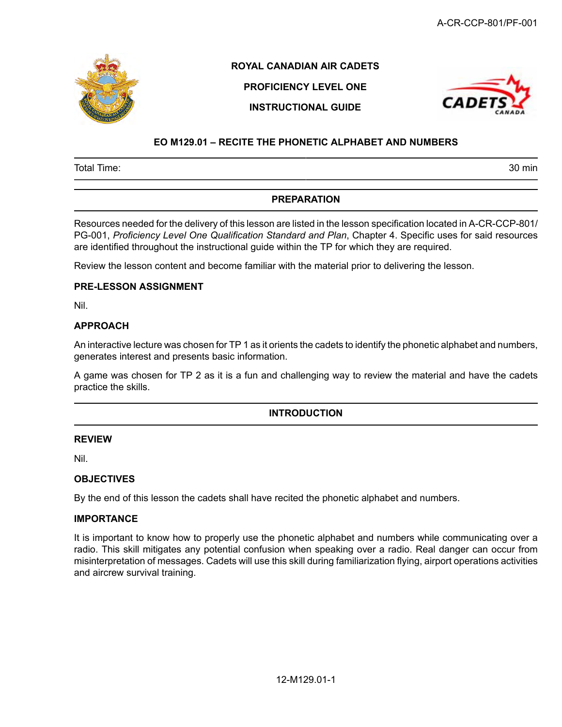

# **ROYAL CANADIAN AIR CADETS**

# **PROFICIENCY LEVEL ONE INSTRUCTIONAL GUIDE**



# **EO M129.01 – RECITE THE PHONETIC ALPHABET AND NUMBERS**

Total Time: 30 min

# **PREPARATION**

Resources needed for the delivery of this lesson are listed in the lesson specification located in A-CR-CCP-801/ PG-001, *Proficiency Level One Qualification Standard and Plan*, Chapter 4. Specific uses for said resources are identified throughout the instructional guide within the TP for which they are required.

Review the lesson content and become familiar with the material prior to delivering the lesson.

## **PRE-LESSON ASSIGNMENT**

Nil.

## **APPROACH**

An interactive lecture was chosen for TP 1 as it orients the cadets to identify the phonetic alphabet and numbers, generates interest and presents basic information.

A game was chosen for TP 2 as it is a fun and challenging way to review the material and have the cadets practice the skills.

## **INTRODUCTION**

## **REVIEW**

Nil.

## **OBJECTIVES**

By the end of this lesson the cadets shall have recited the phonetic alphabet and numbers.

#### **IMPORTANCE**

It is important to know how to properly use the phonetic alphabet and numbers while communicating over a radio. This skill mitigates any potential confusion when speaking over a radio. Real danger can occur from misinterpretation of messages. Cadets will use this skill during familiarization flying, airport operations activities and aircrew survival training.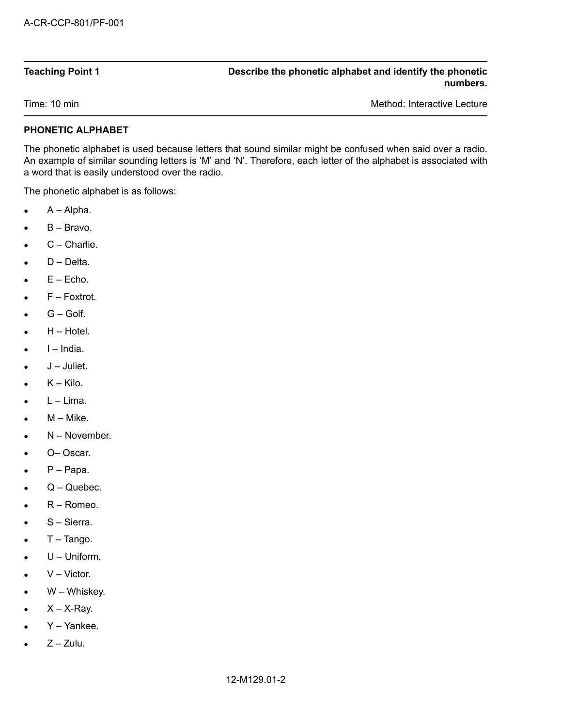|  | <b>Teaching Point 1</b> |  |
|--|-------------------------|--|

#### **Teaching Point 1 Describe the phonetic alphabet and identify the phonetic numbers.**

Time: 10 min Method: Interactive Lecture Communication of the Method: Interactive Lecture

# **PHONETIC ALPHABET**

The phonetic alphabet is used because letters that sound similar might be confused when said over a radio. An example of similar sounding letters is 'M' and 'N'. Therefore, each letter of the alphabet is associated with a word that is easily understood over the radio.

The phonetic alphabet is as follows:

- $\bullet$   $A Alpha.$
- $\bullet$  B Bravo.
- $C -$ Charlie.
- D Delta.
- $\bullet$   $E Echo.$
- $\bullet$   $F$  Foxtrot.
- $\bullet$   $G -$  Golf.
- $H Hotel.$
- I – India.
- $\bullet$   $J -$  Juliet.
- $\bullet$   $K -$  Kilo.
- $\bullet$  L Lima.
- $M Mike$ .
- N November.
- O– Oscar.
- $\bullet$   $P -$  Papa.
- Q Quebec.
- R Romeo.
- S Sierra.
- $\bullet$  T Tango.
- U Uniform.
- $V Victor.$
- W Whiskey.
- $X X$ -Ray.
- Y Yankee.
- $\bullet$   $7 7$ ulu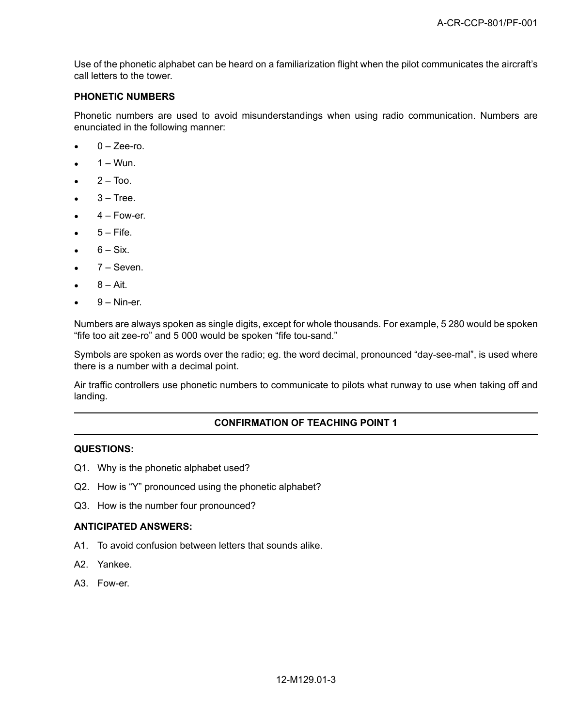Use of the phonetic alphabet can be heard on a familiarization flight when the pilot communicates the aircraft's call letters to the tower.

# **PHONETIC NUMBERS**

Phonetic numbers are used to avoid misunderstandings when using radio communication. Numbers are enunciated in the following manner:

- $\bullet$  0 Zee-ro.
- $\bullet$  1 Wun.
- $\bullet$  2 Too.
- $3 -$ Tree.
- $4 -$  Fow-er.
- $5 -$  Fife.
- $\bullet$  6 Six.
- $\bullet$  7 Seven.
- $8 Air$
- $9 -$  Nin-er.

Numbers are always spoken as single digits, except for whole thousands. For example, 5 280 would be spoken "fife too ait zee-ro" and 5 000 would be spoken "fife tou-sand."

Symbols are spoken as words over the radio; eg. the word decimal, pronounced "day-see-mal", is used where there is a number with a decimal point.

Air traffic controllers use phonetic numbers to communicate to pilots what runway to use when taking off and landing.

### **CONFIRMATION OF TEACHING POINT 1**

#### **QUESTIONS:**

- Q1. Why is the phonetic alphabet used?
- Q2. How is "Y" pronounced using the phonetic alphabet?
- Q3. How is the number four pronounced?

#### **ANTICIPATED ANSWERS:**

- A1. To avoid confusion between letters that sounds alike.
- A2. Yankee.
- A3. Fow-er.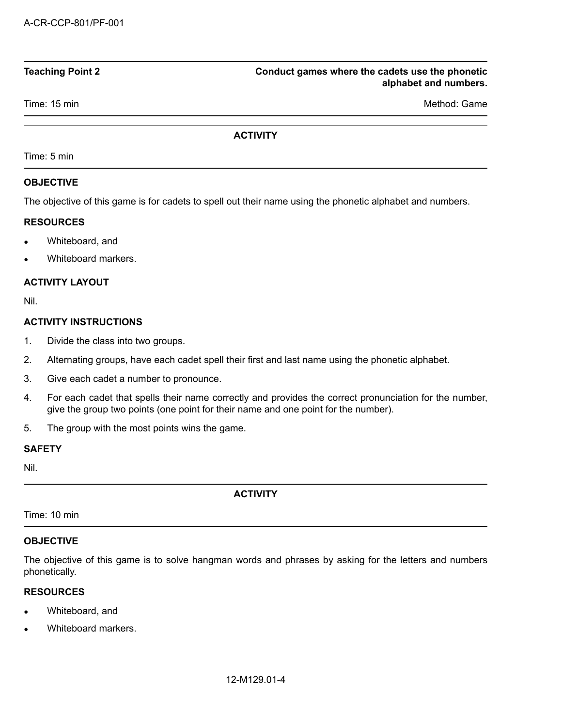## **Teaching Point 2 Conduct games where the cadets use the phonetic alphabet and numbers.**

Time: 15 min Method: Game

## **ACTIVITY**

Time: 5 min

# **OBJECTIVE**

The objective of this game is for cadets to spell out their name using the phonetic alphabet and numbers.

## **RESOURCES**

- Whiteboard, and
- Whiteboard markers.

# **ACTIVITY LAYOUT**

Nil.

# **ACTIVITY INSTRUCTIONS**

- 1. Divide the class into two groups.
- 2. Alternating groups, have each cadet spell their first and last name using the phonetic alphabet.
- 3. Give each cadet a number to pronounce.
- 4. For each cadet that spells their name correctly and provides the correct pronunciation for the number, give the group two points (one point for their name and one point for the number).
- 5. The group with the most points wins the game.

## **SAFETY**

Nil.

**ACTIVITY**

Time: 10 min

## **OBJECTIVE**

The objective of this game is to solve hangman words and phrases by asking for the letters and numbers phonetically.

## **RESOURCES**

- Whiteboard, and
- Whiteboard markers.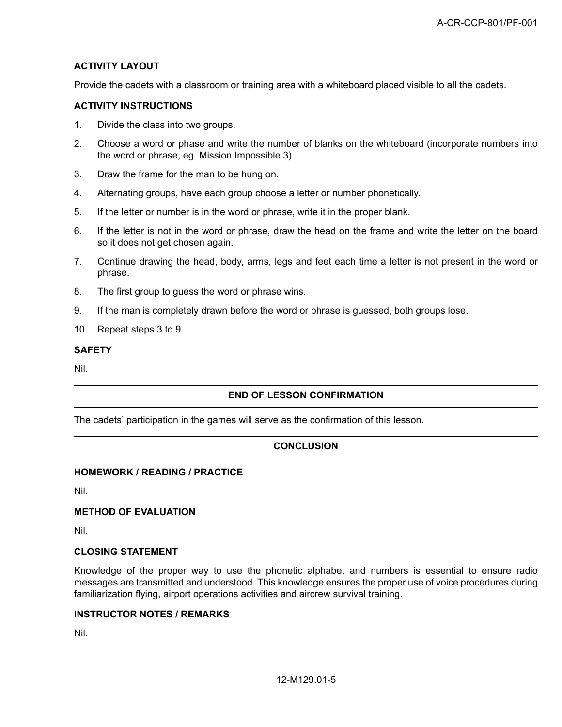# **ACTIVITY LAYOUT**

Provide the cadets with a classroom or training area with a whiteboard placed visible to all the cadets.

#### **ACTIVITY INSTRUCTIONS**

- 1. Divide the class into two groups.
- 2. Choose a word or phase and write the number of blanks on the whiteboard (incorporate numbers into the word or phrase, eg. Mission Impossible 3).
- 3. Draw the frame for the man to be hung on.
- 4. Alternating groups, have each group choose a letter or number phonetically.
- 5. If the letter or number is in the word or phrase, write it in the proper blank.
- 6. If the letter is not in the word or phrase, draw the head on the frame and write the letter on the board so it does not get chosen again.
- 7. Continue drawing the head, body, arms, legs and feet each time a letter is not present in the word or phrase.
- 8. The first group to guess the word or phrase wins.
- 9. If the man is completely drawn before the word or phrase is guessed, both groups lose.
- 10. Repeat steps 3 to 9.

#### **SAFETY**

Nil.

## **END OF LESSON CONFIRMATION**

The cadets' participation in the games will serve as the confirmation of this lesson.

## **CONCLUSION**

#### **HOMEWORK / READING / PRACTICE**

Nil.

#### **METHOD OF EVALUATION**

Nil.

#### **CLOSING STATEMENT**

Knowledge of the proper way to use the phonetic alphabet and numbers is essential to ensure radio messages are transmitted and understood. This knowledge ensures the proper use of voice procedures during familiarization flying, airport operations activities and aircrew survival training.

#### **INSTRUCTOR NOTES / REMARKS**

Nil.